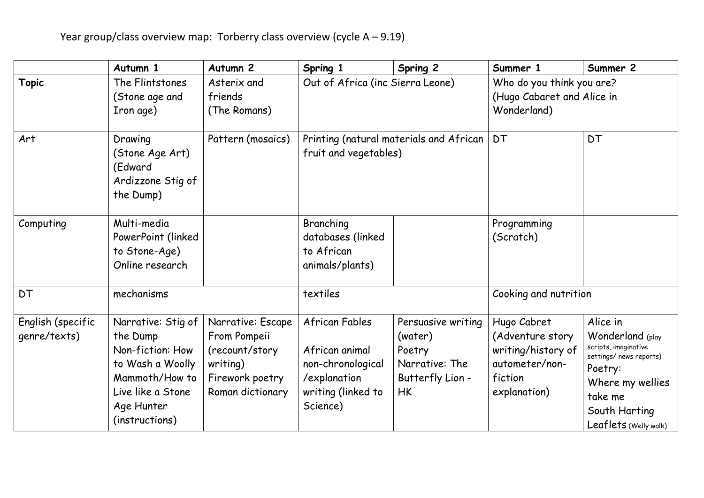|                                   | Autumn 1                                                                                                                                      | Autumn <sub>2</sub>                                                                                    | Spring 1                                                                                                | Spring 2                                                                                   | Summer 1                                                                                           | Summer 2                                                                                                                                                            |
|-----------------------------------|-----------------------------------------------------------------------------------------------------------------------------------------------|--------------------------------------------------------------------------------------------------------|---------------------------------------------------------------------------------------------------------|--------------------------------------------------------------------------------------------|----------------------------------------------------------------------------------------------------|---------------------------------------------------------------------------------------------------------------------------------------------------------------------|
| <b>Topic</b>                      | The Flintstones<br>(Stone age and<br>Iron age)                                                                                                | Asterix and<br>friends<br>(The Romans)                                                                 | Out of Africa (inc Sierra Leone)                                                                        |                                                                                            | Who do you think you are?<br>(Hugo Cabaret and Alice in<br>Wonderland)                             |                                                                                                                                                                     |
| Art                               | Drawing<br>(Stone Age Art)<br>(Edward<br>Ardizzone Stig of<br>the Dump)                                                                       | Pattern (mosaics)                                                                                      | Printing (natural materials and African<br>fruit and vegetables)                                        |                                                                                            | <b>DT</b>                                                                                          | <b>DT</b>                                                                                                                                                           |
| Computing                         | Multi-media<br>PowerPoint (linked<br>to Stone-Age)<br>Online research                                                                         |                                                                                                        | Branching<br>databases (linked<br>to African<br>animals/plants)                                         |                                                                                            | Programming<br>(Scratch)                                                                           |                                                                                                                                                                     |
| <b>DT</b>                         | mechanisms                                                                                                                                    |                                                                                                        | textiles                                                                                                |                                                                                            | Cooking and nutrition                                                                              |                                                                                                                                                                     |
| English (specific<br>genre/texts) | Narrative: Stig of<br>the Dump<br>Non-fiction: How<br>to Wash a Woolly<br>Mammoth/How to<br>Live like a Stone<br>Age Hunter<br>(instructions) | Narrative: Escape<br>From Pompeii<br>(recount/story<br>writing)<br>Firework poetry<br>Roman dictionary | African Fables<br>African animal<br>non-chronological<br>/explanation<br>writing (linked to<br>Science) | Persuasive writing<br>(water)<br>Poetry<br>Narrative: The<br>Butterfly Lion -<br><b>HK</b> | Hugo Cabret<br>(Adventure story<br>writing/history of<br>autometer/non-<br>fiction<br>explanation) | Alice in<br>Wonderland (play<br>scripts, imaginative<br>settings/ news reports)<br>Poetry:<br>Where my wellies<br>take me<br>South Harting<br>Leaflets (Welly walk) |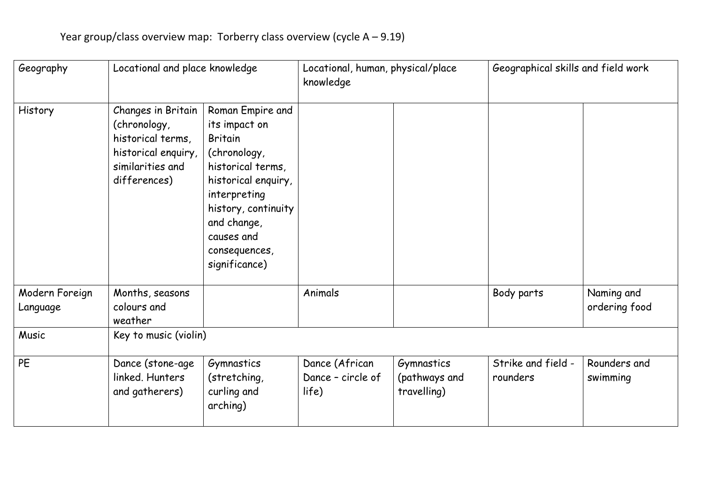| Geography                  | Locational and place knowledge                                                                                     |                                                                                                                                                                                                                       | Locational, human, physical/place<br>knowledge |                                            | Geographical skills and field work |                             |  |  |
|----------------------------|--------------------------------------------------------------------------------------------------------------------|-----------------------------------------------------------------------------------------------------------------------------------------------------------------------------------------------------------------------|------------------------------------------------|--------------------------------------------|------------------------------------|-----------------------------|--|--|
| History                    | Changes in Britain<br>(chronology,<br>historical terms,<br>historical enquiry,<br>similarities and<br>differences) | Roman Empire and<br>its impact on<br><b>Britain</b><br>(chronology,<br>historical terms,<br>historical enquiry,<br>interpreting<br>history, continuity<br>and change,<br>causes and<br>consequences,<br>significance) |                                                |                                            |                                    |                             |  |  |
| Modern Foreign<br>Language | Months, seasons<br>colours and<br>weather                                                                          |                                                                                                                                                                                                                       | Animals                                        |                                            | Body parts                         | Naming and<br>ordering food |  |  |
| Music                      | Key to music (violin)                                                                                              |                                                                                                                                                                                                                       |                                                |                                            |                                    |                             |  |  |
| PE                         | Dance (stone-age<br>linked. Hunters<br>and gatherers)                                                              | Gymnastics<br>(stretching,<br>curling and<br>arching)                                                                                                                                                                 | Dance (African<br>Dance - circle of<br>life)   | Gymnastics<br>(pathways and<br>travelling) | Strike and field -<br>rounders     | Rounders and<br>swimming    |  |  |